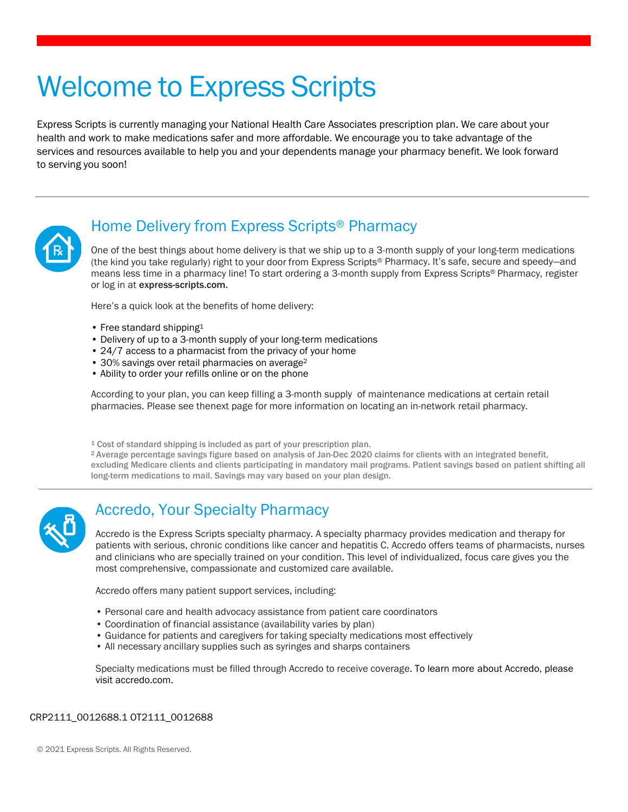# Welcome to Express Scripts

Express Scripts is currently managing your National Health Care Associates prescription plan. We care about your health and work to make medications safer and more affordable. We encourage you to take advantage of the services and resources available to help you and your dependents manage your pharmacy benefit. We look forward to serving you soon!



## Home Delivery from Express Scripts® Pharmacy

One of the best things about home delivery is that we ship up to a 3-month supply of your long-term medications (the kind you take regularly) right to your door from Express Scripts® Pharmacy. It's safe, secure and speedy—and means less time in a pharmacy line! To start ordering a 3-month supply from Express Scripts® Pharmacy, register or log in at express-scripts.com.

Here's a quick look at the benefits of home delivery:

- Free standard shipping<sup>1</sup>
- Delivery of up to a 3-month supply of your long-term medications
- 24/7 access to a pharmacist from the privacy of your home
- 30% savings over retail pharmacies on average<sup>2</sup>
- Ability to order your refills online or on the phone

According to your plan, you can keep filling a 3-month supply of maintenance medications at certain retail pharmacies. Please see thenext page for more information on locating an in-network retail pharmacy.

<sup>1</sup> Cost of standard shipping is included as part of your prescription plan. 2 Average percentage savings figure based on analysis of Jan-Dec 2020 claims for clients with an integrated benefit, excluding Medicare clients and clients participating in mandatory mail programs. Patient savings based on patient shifting all



#### Accredo, Your Specialty Pharmacy

Accredo is the Express Scripts specialty pharmacy. A specialty pharmacy provides medication and therapy for patients with serious, chronic conditions like cancer and hepatitis C. Accredo offers teams of pharmacists, nurses and clinicians who are specially trained on your condition. This level of individualized, focus care gives you the most comprehensive, compassionate and customized care available.

Accredo offers many patient support services, including:

- Personal care and health advocacy assistance from patient care coordinators
- Coordination of financial assistance (availability varies by plan)

long-term medications to mail. Savings may vary based on your plan design.

- Guidance for patients and caregivers for taking specialty medications most effectively
- All necessary ancillary supplies such as syringes and sharps containers

Specialty medications must be filled through Accredo to receive coverage. To learn more about Accredo, please visit accredo.com.

#### CRP2111\_0012688.1 OT2111\_0012688

© 2021 Express Scripts. All Rights Reserved.